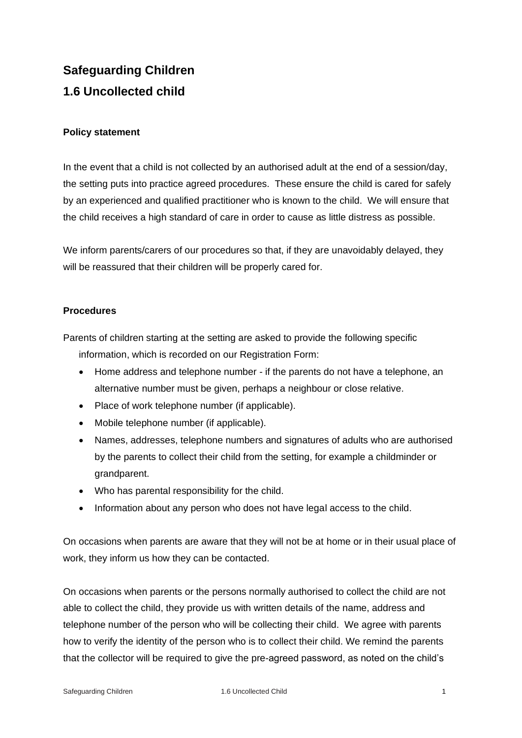## **Safeguarding Children 1.6 Uncollected child**

## **Policy statement**

In the event that a child is not collected by an authorised adult at the end of a session/day, the setting puts into practice agreed procedures. These ensure the child is cared for safely by an experienced and qualified practitioner who is known to the child. We will ensure that the child receives a high standard of care in order to cause as little distress as possible.

We inform parents/carers of our procedures so that, if they are unavoidably delayed, they will be reassured that their children will be properly cared for.

## **Procedures**

Parents of children starting at the setting are asked to provide the following specific information, which is recorded on our Registration Form:

- Home address and telephone number if the parents do not have a telephone, an alternative number must be given, perhaps a neighbour or close relative.
- Place of work telephone number (if applicable).
- Mobile telephone number (if applicable).
- Names, addresses, telephone numbers and signatures of adults who are authorised by the parents to collect their child from the setting, for example a childminder or grandparent.
- Who has parental responsibility for the child.
- Information about any person who does not have legal access to the child.

On occasions when parents are aware that they will not be at home or in their usual place of work, they inform us how they can be contacted.

On occasions when parents or the persons normally authorised to collect the child are not able to collect the child, they provide us with written details of the name, address and telephone number of the person who will be collecting their child. We agree with parents how to verify the identity of the person who is to collect their child. We remind the parents that the collector will be required to give the pre-agreed password, as noted on the child's